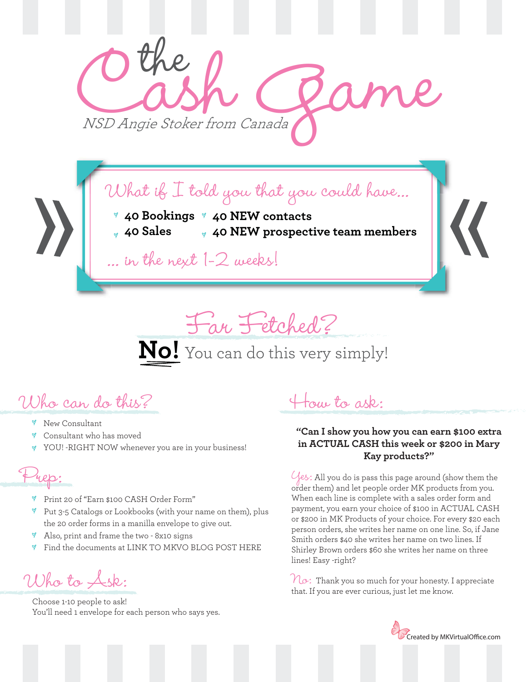

What if I told you that you could have...

- **40 Bookings 40 NEW contacts**
	- **40 Sales 40 NEW prospective team members**

... in the next 1-2 weeks!

Far Fetched? **No!** You can do this very simply!

Who can do this?

- **Y** New Consultant
- Consultant who has moved
- YOU! -RIGHT NOW whenever you are in your business!

Prep:

- Print 20 of "Earn \$100 CASH Order Form"
- $\%$  Put 3-5 Catalogs or Lookbooks (with your name on them), plus the 20 order forms in a manilla envelope to give out.
- Y Also, print and frame the two - 8x10 signs
- Find the documents at LINK TO MKVO BLOG POST HERE  $\breve{\mathsf{v}}$

Who to Ask:

Choose 1-10 people to ask! You'll need 1 envelope for each person who says yes.

How to ask:

#### **"Can I show you how you can earn \$100 extra in ACTUAL CASH this week or \$200 in Mary Kay products?"**

 $\mathcal{Y}_{\ell}$ es: All you do is pass this page around (show them the order them) and let people order MK products from you. When each line is complete with a sales order form and payment, you earn your choice of \$100 in ACTUAL CASH or \$200 in MK Products of your choice. For every \$20 each person orders, she writes her name on one line. So, if Jane Smith orders \$40 she writes her name on two lines. If Shirley Brown orders \$60 she writes her name on three lines! Easy -right?

 $\mathcal{N}_{\mathcal{O}}$ : Thank you so much for your honesty. I appreciate that. If you are ever curious, just let me know.

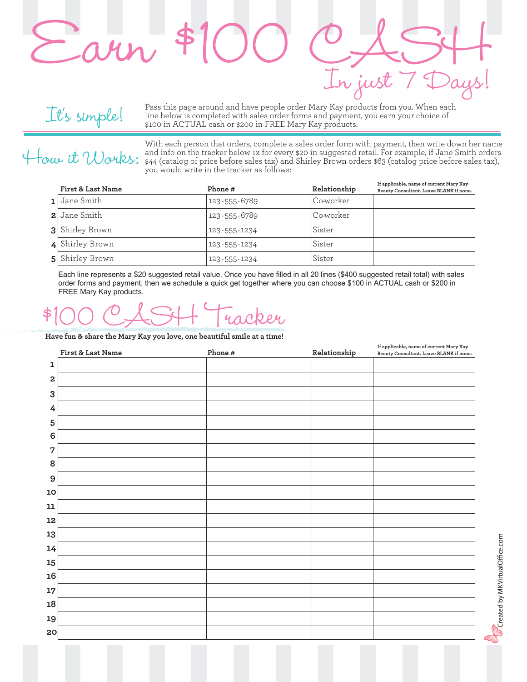

Pass this page around and have people order Mary Kay products from you. When each line below is completed with sales order forms and payment, you earn your choice of \$100 in ACTUAL cash or \$200 in FREE Mary Kay products.

It's simple!

With each person that orders, complete a sales order form with payment, then write down her name and info on the tracker below 1x for every \$20 in suggested retail. For example, if Jane Smith orders <br>\$44 (catalog of price before sales tax) and Shirley Brown orders \$63 (catalog price before sales tax),<br>Works: wou would you would write in the tracker as follows:

In just

| <b>First &amp; Last Name</b> | Phone#             | Relationship | If applicable, name of current Mary Kay<br>Beauty Consultant. Leave BLANK if none. |
|------------------------------|--------------------|--------------|------------------------------------------------------------------------------------|
| 1 Jane Smith                 | 123 - 555 - 6789   | Co-worker    |                                                                                    |
| 2 Jane Smith                 | 123-555-6789       | Co-worker    |                                                                                    |
| <b>3</b> Shirley Brown       | 123-555-1234       | Sister       |                                                                                    |
| 4 Shirley Brown              | $123 - 555 - 1234$ | Sister       |                                                                                    |
| <b>5</b> Shirley Brown       | 123-555-1234       | Sister       |                                                                                    |

Each line represents a \$20 suggested retail value. Once you have filled in all 20 lines (\$400 suggested retail total) with sales order forms and payment, then we schedule a quick get together where you can choose \$100 in ACTUAL cash or \$200 in FREE Mary Kay products.

### \$100 CASH Tracker

**Have fun & share the Mary Kay you love, one beautiful smile at a time!**

|                         | First & Last Name | Phone $\#$ | ${\bf Relations hip}$ | If applicable, name of current Mary Kay<br>Beauty Consultant. Leave BLANK if none. |
|-------------------------|-------------------|------------|-----------------------|------------------------------------------------------------------------------------|
| 1                       |                   |            |                       |                                                                                    |
| $\overline{\mathbf{2}}$ |                   |            |                       |                                                                                    |
| 3                       |                   |            |                       |                                                                                    |
| $\overline{4}$          |                   |            |                       |                                                                                    |
| 5                       |                   |            |                       |                                                                                    |
| $\bf 6$                 |                   |            |                       |                                                                                    |
| 7                       |                   |            |                       |                                                                                    |
| 8                       |                   |            |                       |                                                                                    |
| 9                       |                   |            |                       |                                                                                    |
| 10                      |                   |            |                       |                                                                                    |
| ${\bf 11}$              |                   |            |                       |                                                                                    |
| 12                      |                   |            |                       |                                                                                    |
| 13                      |                   |            |                       |                                                                                    |
| 14                      |                   |            |                       |                                                                                    |
| 15                      |                   |            |                       |                                                                                    |
| 16                      |                   |            |                       |                                                                                    |
| 17                      |                   |            |                       |                                                                                    |
| 18                      |                   |            |                       |                                                                                    |
| 19                      |                   |            |                       |                                                                                    |
| 20                      |                   |            |                       |                                                                                    |

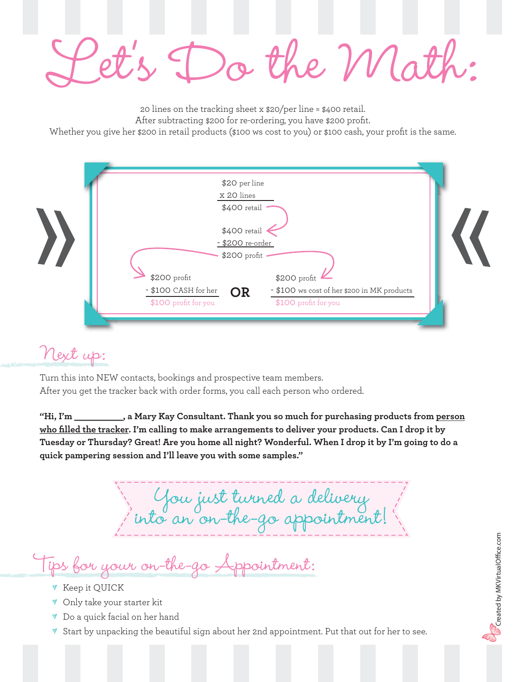Do the Mat

20 lines on the tracking sheet x \$20/per line = \$400 retail. After subtracting \$200 for re-ordering, you have \$200 profit. Whether you give her \$200 in retail products (\$100 ws cost to you) or \$100 cash, your profit is the same.

| \$20 per line                                                    |                                             |  |
|------------------------------------------------------------------|---------------------------------------------|--|
| x 20 lines                                                       |                                             |  |
| \$400 retail<br>\$400 retail<br>- \$200 re-order<br>\$200 profit |                                             |  |
| \$200 profit                                                     | \$200 profit                                |  |
| - \$100 CASH for her<br><b>OR</b>                                | - \$100 ws cost of her \$200 in MK products |  |
| \$100 profit for you                                             | \$100 profit for you                        |  |

#### Next up:

Turn this into NEW contacts, bookings and prospective team members. After you get the tracker back with order forms, you call each person who ordered.

**"Hi, I'm \_\_\_\_\_\_\_\_\_, a Mary Kay Consultant. Thank you so much for purchasing products from person who filled the tracker. I'm calling to make arrangements to deliver your products. Can I drop it by Tuesday or Thursday? Great! Are you home all night? Wonderful. When I drop it by I'm going to do a quick pampering session and I'll leave you with some samples."**

You just turned a delivery into an on-the-go appointment!

Tips for your on-the-go Appointment:

- Keep it QUICK
- Only take your starter kit
- Do a quick facial on her hand
- $\%$  Start by unpacking the beautiful sign about her 2nd appointment. Put that out for her to see.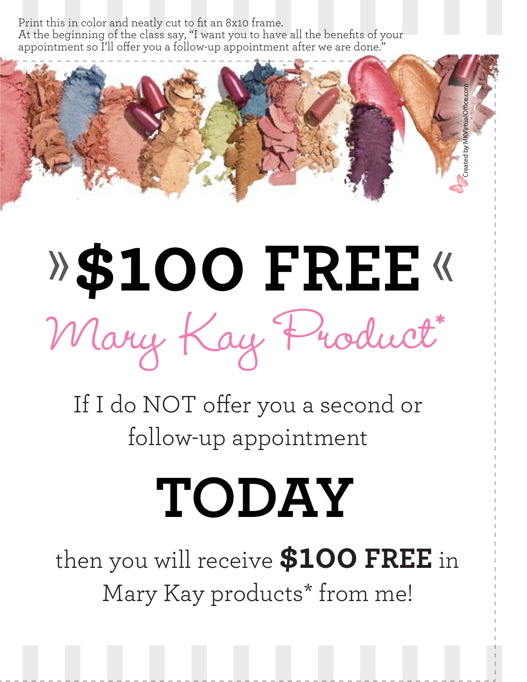Print this in color and neatly cut to fit an 8x10 frame.

At the beginning of the class say, "I want you to have all the benefits of your appointment so I'll offer you a follow-up appointment after we are done."



## **\$100 FREE** Mary Kay Product\*

If I do NOT offer you a second or follow-up appointment

### **TODAY**

then you will receive **\$100 FREE** in Mary Kay products\* from me!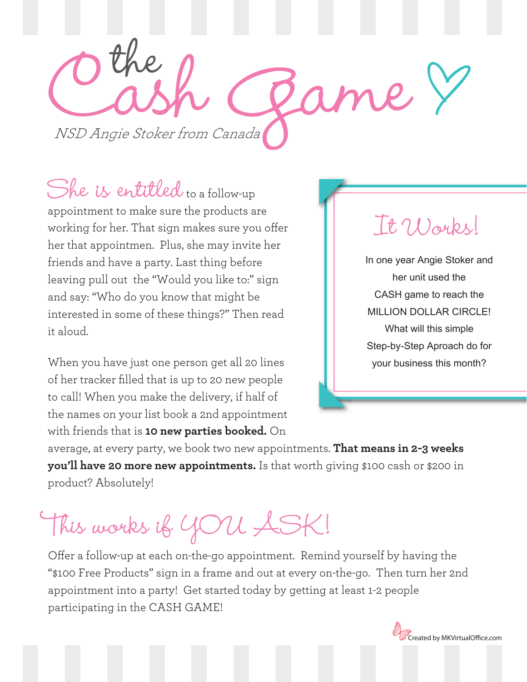Othe R Game the

She is entitled to a follow-up appointment to make sure the products are working for her. That sign makes sure you offer her that appointmen. Plus, she may invite her friends and have a party. Last thing before leaving pull out the "Would you like to:" sign and say: "Who do you know that might be interested in some of these things?" Then read it aloud.

When you have just one person get all 20 lines of her tracker filled that is up to 20 new people to call! When you make the delivery, if half of the names on your list book a 2nd appointment with friends that is **10 new parties booked.** On

### It Works!

In one year Angie Stoker and her unit used the CASH game to reach the MILLION DOLLAR CIRCLE! What will this simple Step-by-Step Aproach do for your business this month?

average, at every party, we book two new appointments. **That means in 2-3 weeks you'll have 20 more new appointments.** Is that worth giving \$100 cash or \$200 in product? Absolutely!

This works if YOU ASK!

Offer a follow-up at each on-the-go appointment. Remind yourself by having the "\$100 Free Products" sign in a frame and out at every on-the-go. Then turn her 2nd appointment into a party! Get started today by getting at least 1-2 people participating in the CASH GAME!